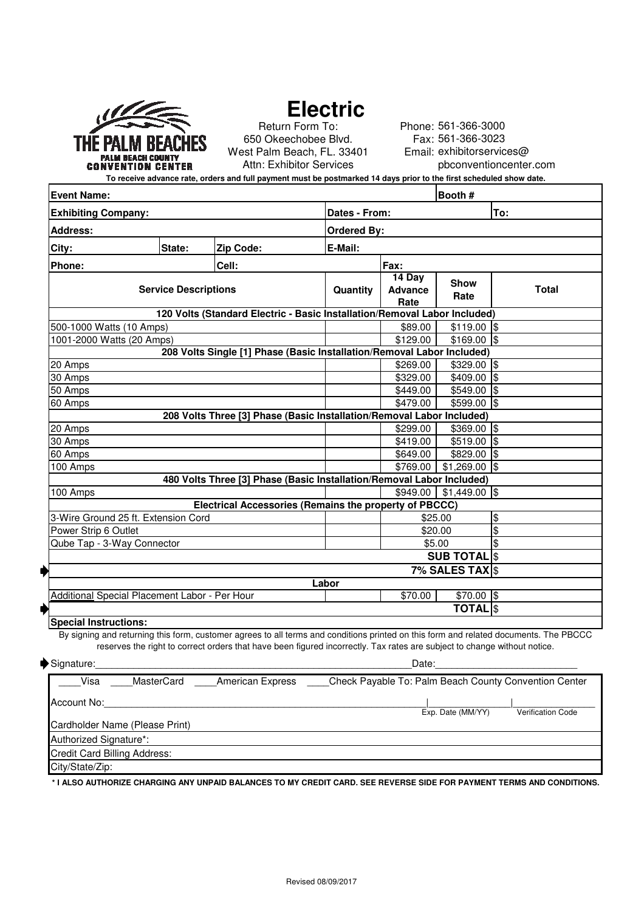|                                                      | THE PALM BEACHES |  |  |  |  |
|------------------------------------------------------|------------------|--|--|--|--|
| <b>PALM BEACH COUNTY</b><br><b>CONVENTION CENTER</b> |                  |  |  |  |  |

# **Electric**

Return Form To: 650 Okeechobee Blvd. West Palm Beach, FL. 33401 Attn: Exhibitor Services

Phone: 561-366-3000 Fax: 561-366-3023 Email: exhibitorservices@ pbconventioncenter.com

**To receive advance rate, orders and full payment must be postmarked 14 days prior to the first scheduled show date.**

| <b>Event Name:</b>                                                                                     |        |                                                                                                                                                                                                                                                                   | Booth #                          |                      |                 |                         |  |
|--------------------------------------------------------------------------------------------------------|--------|-------------------------------------------------------------------------------------------------------------------------------------------------------------------------------------------------------------------------------------------------------------------|----------------------------------|----------------------|-----------------|-------------------------|--|
| <b>Exhibiting Company:</b>                                                                             |        |                                                                                                                                                                                                                                                                   | Dates - From:<br>To:             |                      |                 |                         |  |
| <b>Address:</b>                                                                                        |        |                                                                                                                                                                                                                                                                   | <b>Ordered By:</b>               |                      |                 |                         |  |
| City:                                                                                                  | State: | Zip Code:                                                                                                                                                                                                                                                         | E-Mail:                          |                      |                 |                         |  |
| Phone:                                                                                                 |        | Cell:                                                                                                                                                                                                                                                             |                                  | Fax:                 |                 |                         |  |
| <b>Service Descriptions</b>                                                                            |        | Quantity                                                                                                                                                                                                                                                          | 14 Day<br><b>Advance</b><br>Rate | <b>Show</b><br>Rate  | <b>Total</b>    |                         |  |
|                                                                                                        |        | 120 Volts (Standard Electric - Basic Installation/Removal Labor Included)                                                                                                                                                                                         |                                  |                      |                 |                         |  |
| 500-1000 Watts (10 Amps)                                                                               |        |                                                                                                                                                                                                                                                                   |                                  | \$89.00              | $$119.00$ \$    |                         |  |
| 1001-2000 Watts (20 Amps)                                                                              |        |                                                                                                                                                                                                                                                                   |                                  | \$129.00             | $$169.00$ \$    |                         |  |
|                                                                                                        |        | 208 Volts Single [1] Phase (Basic Installation/Removal Labor Included)                                                                                                                                                                                            |                                  |                      |                 |                         |  |
| 20 Amps                                                                                                |        |                                                                                                                                                                                                                                                                   |                                  | \$269.00             | $$329.00$ \$    |                         |  |
| 30 Amps                                                                                                |        |                                                                                                                                                                                                                                                                   |                                  | \$329.00             | $$409.00$ \$    |                         |  |
| 50 Amps                                                                                                |        |                                                                                                                                                                                                                                                                   |                                  | \$449.00             | $$549.00$ \$    |                         |  |
| 60 Amps                                                                                                |        |                                                                                                                                                                                                                                                                   |                                  | \$479.00             | \$599.00        | $\sqrt{3}$              |  |
|                                                                                                        |        | 208 Volts Three [3] Phase (Basic Installation/Removal Labor Included)                                                                                                                                                                                             |                                  |                      |                 |                         |  |
| 20 Amps                                                                                                |        |                                                                                                                                                                                                                                                                   |                                  | \$299.00             | \$369.00 \$     |                         |  |
| 30 Amps                                                                                                |        |                                                                                                                                                                                                                                                                   |                                  | \$419.00             | $$519.00$ \$    |                         |  |
| 60 Amps                                                                                                |        |                                                                                                                                                                                                                                                                   |                                  | \$649.00             | $$829.00$ \$    |                         |  |
| 100 Amps                                                                                               |        |                                                                                                                                                                                                                                                                   |                                  | \$769.00             | $$1,269.00$ \\$ |                         |  |
|                                                                                                        |        | 480 Volts Three [3] Phase (Basic Installation/Removal Labor Included)                                                                                                                                                                                             |                                  |                      |                 |                         |  |
| 100 Amps                                                                                               |        |                                                                                                                                                                                                                                                                   |                                  | \$949.00             | $$1,449.00$ \$  |                         |  |
|                                                                                                        |        | Electrical Accessories (Remains the property of PBCCC)                                                                                                                                                                                                            |                                  |                      |                 |                         |  |
| 3-Wire Ground 25 ft. Extension Cord                                                                    |        |                                                                                                                                                                                                                                                                   |                                  |                      | \$25.00         | $\frac{1}{2}$           |  |
| Power Strip 6 Outlet                                                                                   |        |                                                                                                                                                                                                                                                                   |                                  | \$20.00              |                 | $\overline{\$}$         |  |
| Qube Tap - 3-Way Connector                                                                             |        |                                                                                                                                                                                                                                                                   |                                  |                      | \$5.00          | $\overline{\mathbf{S}}$ |  |
|                                                                                                        |        |                                                                                                                                                                                                                                                                   | <b>SUB TOTALS</b>                |                      |                 |                         |  |
|                                                                                                        |        |                                                                                                                                                                                                                                                                   |                                  | <b>7% SALES TAXS</b> |                 |                         |  |
| Labor                                                                                                  |        |                                                                                                                                                                                                                                                                   |                                  |                      |                 |                         |  |
| Additional Special Placement Labor - Per Hour                                                          |        |                                                                                                                                                                                                                                                                   |                                  | \$70.00              | $$70.00$ \$     |                         |  |
|                                                                                                        |        |                                                                                                                                                                                                                                                                   |                                  |                      | <b>TOTAL</b> S  |                         |  |
| <b>Special Instructions:</b>                                                                           |        |                                                                                                                                                                                                                                                                   |                                  |                      |                 |                         |  |
|                                                                                                        |        | By signing and returning this form, customer agrees to all terms and conditions printed on this form and related documents. The PBCCC<br>reserves the right to correct orders that have been figured incorrectly. Tax rates are subject to change without notice. |                                  |                      |                 |                         |  |
| Date:<br>Signature:                                                                                    |        |                                                                                                                                                                                                                                                                   |                                  |                      |                 |                         |  |
| MasterCard<br><b>American Express</b><br>Check Payable To: Palm Beach County Convention Center<br>Visa |        |                                                                                                                                                                                                                                                                   |                                  |                      |                 |                         |  |
| <b>Account No:</b>                                                                                     |        |                                                                                                                                                                                                                                                                   |                                  |                      |                 |                         |  |

| Account No:                    |                   |                          |
|--------------------------------|-------------------|--------------------------|
|                                | Exp. Date (MM/YY) | <b>Verification Code</b> |
| Cardholder Name (Please Print) |                   |                          |
| Authorized Signature*:         |                   |                          |
| Credit Card Billing Address:   |                   |                          |
| City/State/Zip:                |                   |                          |

**\* I ALSO AUTHORIZE CHARGING ANY UNPAID BALANCES TO MY CREDIT CARD. SEE REVERSE SIDE FOR PAYMENT TERMS AND CONDITIONS.**